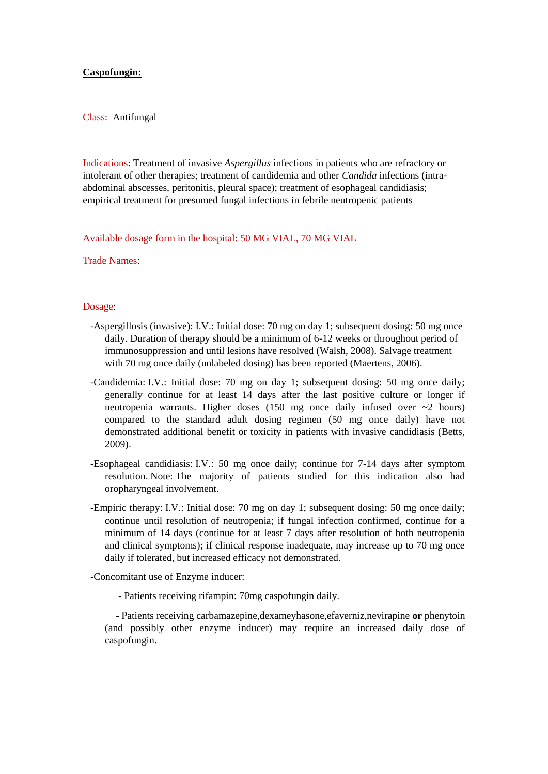## **Caspofungin:**

Class: Antifungal

Indications: Treatment of invasive *Aspergillus* infections in patients who are refractory or intolerant of other therapies; treatment of candidemia and other *Candida* infections (intraabdominal abscesses, peritonitis, pleural space); treatment of esophageal candidiasis; empirical treatment for presumed fungal infections in febrile neutropenic patients

Available dosage form in the hospital: 50 MG VIAL, 70 MG VIAL

Trade Names:

## Dosage:

- -Aspergillosis (invasive): I.V.: Initial dose: 70 mg on day 1; subsequent dosing: 50 mg once daily. Duration of therapy should be a minimum of 6-12 weeks or throughout period of immunosuppression and until lesions have resolved (Walsh, 2008). Salvage treatment with 70 mg once daily (unlabeled dosing) has been reported (Maertens, 2006).
- -Candidemia: I.V.: Initial dose: 70 mg on day 1; subsequent dosing: 50 mg once daily; generally continue for at least 14 days after the last positive culture or longer if neutropenia warrants. Higher doses (150 mg once daily infused over ~2 hours) compared to the standard adult dosing regimen (50 mg once daily) have not demonstrated additional benefit or toxicity in patients with invasive candidiasis (Betts, 2009).
- -Esophageal candidiasis: I.V.: 50 mg once daily; continue for 7-14 days after symptom resolution. Note: The majority of patients studied for this indication also had oropharyngeal involvement.
- -Empiric therapy: I.V.: Initial dose: 70 mg on day 1; subsequent dosing: 50 mg once daily; continue until resolution of neutropenia; if fungal infection confirmed, continue for a minimum of 14 days (continue for at least 7 days after resolution of both neutropenia and clinical symptoms); if clinical response inadequate, may increase up to 70 mg once daily if tolerated, but increased efficacy not demonstrated.
- -Concomitant use of Enzyme inducer:
	- Patients receiving rifampin: 70mg caspofungin daily.

 - Patients receiving carbamazepine,dexameyhasone,efaverniz,nevirapine **or** phenytoin (and possibly other enzyme inducer) may require an increased daily dose of caspofungin.